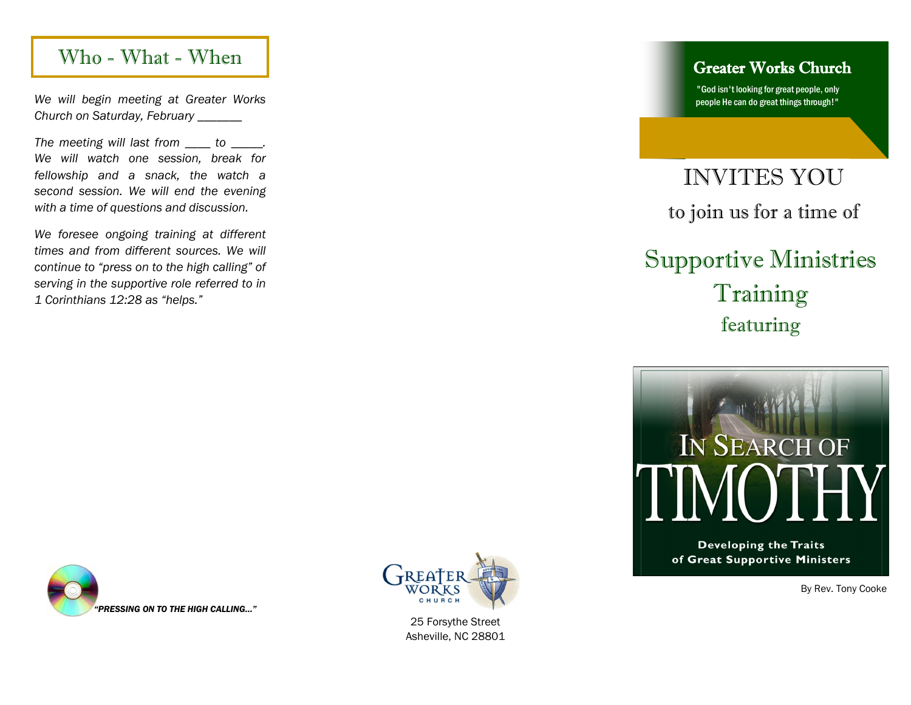### Who - What - When Greater Works Church

*We will begin meeting at Greater Works Church on Saturday, February \_\_\_\_\_\_\_*

*The meeting will last from \_\_\_\_ to \_\_\_\_\_. We will watch one session, break for fellowship and a snack, the watch a second session. We will end the evening with a time of questions and discussion.* 

*We foresee ongoing training at different times and from different sources. We will continue to "press on to the high calling" of serving in the supportive role referred to in 1 Corinthians 12:28 as "helps."* 

"God isn't looking for great people, only people He can do great things through!"

## INVITES YOU to join us for a time of

# Supportive Ministries Training featuring



**Developing the Traits** of Great Supportive Ministers

By Rev. Tony Cooke





25 Forsythe Street Asheville, NC 28801